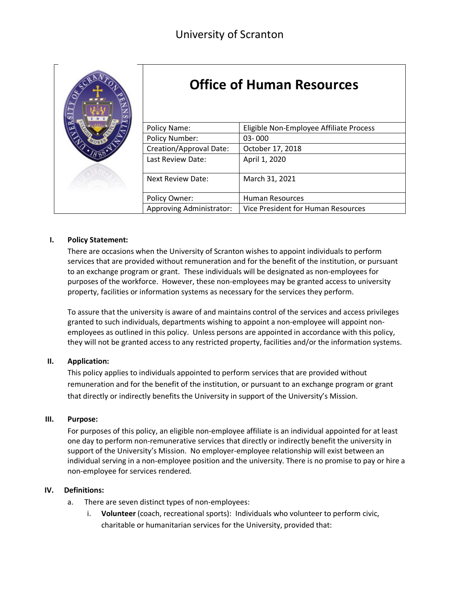

# **Office of Human Resources**

| Policy Name:                    | Eligible Non-Employee Affiliate Process |
|---------------------------------|-----------------------------------------|
| Policy Number:                  | 03-000                                  |
| Creation/Approval Date:         | October 17, 2018                        |
| Last Review Date:               | April 1, 2020                           |
|                                 |                                         |
| <b>Next Review Date:</b>        | March 31, 2021                          |
|                                 |                                         |
| Policy Owner:                   | <b>Human Resources</b>                  |
| <b>Approving Administrator:</b> | Vice President for Human Resources      |

### **I. Policy Statement:**

There are occasions when the University of Scranton wishes to appoint individuals to perform services that are provided without remuneration and for the benefit of the institution, or pursuant to an exchange program or grant. These individuals will be designated as non-employees for purposes of the workforce. However, these non-employees may be granted access to university property, facilities or information systems as necessary for the services they perform.

To assure that the university is aware of and maintains control of the services and access privileges granted to such individuals, departments wishing to appoint a non-employee will appoint nonemployees as outlined in this policy. Unless persons are appointed in accordance with this policy, they will not be granted access to any restricted property, facilities and/or the information systems.

### **II. Application:**

This policy applies to individuals appointed to perform services that are provided without remuneration and for the benefit of the institution, or pursuant to an exchange program or grant that directly or indirectly benefits the University in support of the University's Mission.

### **III. Purpose:**

For purposes of this policy, an eligible non-employee affiliate is an individual appointed for at least one day to perform non-remunerative services that directly or indirectly benefit the university in support of the University's Mission. No employer-employee relationship will exist between an individual serving in a non-employee position and the university. There is no promise to pay or hire a non-employee for services rendered.

### **IV. Definitions:**

- a. There are seven distinct types of non-employees:
	- i. **Volunteer** (coach, recreational sports): Individuals who volunteer to perform civic, charitable or humanitarian services for the University, provided that: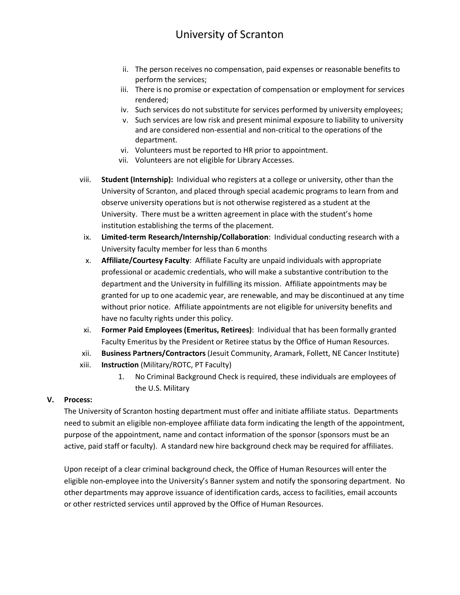# University of Scranton

- ii. The person receives no compensation, paid expenses or reasonable benefits to perform the services;
- iii. There is no promise or expectation of compensation or employment for services rendered;
- iv. Such services do not substitute for services performed by university employees;
- v. Such services are low risk and present minimal exposure to liability to university and are considered non-essential and non-critical to the operations of the department.
- vi. Volunteers must be reported to HR prior to appointment.
- vii. Volunteers are not eligible for Library Accesses.
- viii. **Student (Internship):** Individual who registers at a college or university, other than the University of Scranton, and placed through special academic programs to learn from and observe university operations but is not otherwise registered as a student at the University. There must be a written agreement in place with the student's home institution establishing the terms of the placement.
- ix. **Limited-term Research/Internship/Collaboration**: Individual conducting research with a University faculty member for less than 6 months
- x. **Affiliate/Courtesy Faculty**: Affiliate Faculty are unpaid individuals with appropriate professional or academic credentials, who will make a substantive contribution to the department and the University in fulfilling its mission. Affiliate appointments may be granted for up to one academic year, are renewable, and may be discontinued at any time without prior notice. Affiliate appointments are not eligible for university benefits and have no faculty rights under this policy.
- xi. **Former Paid Employees (Emeritus, Retirees)**: Individual that has been formally granted Faculty Emeritus by the President or Retiree status by the Office of Human Resources.
- xii. **Business Partners/Contractors** (Jesuit Community, Aramark, Follett, NE Cancer Institute)
- xiii. **Instruction** (Military/ROTC, PT Faculty)
	- 1. No Criminal Background Check is required, these individuals are employees of the U.S. Military

### **V. Process:**

The University of Scranton hosting department must offer and initiate affiliate status. Departments need to submit an eligible non-employee affiliate data form indicating the length of the appointment, purpose of the appointment, name and contact information of the sponsor (sponsors must be an active, paid staff or faculty). A standard new hire background check may be required for affiliates.

Upon receipt of a clear criminal background check, the Office of Human Resources will enter the eligible non-employee into the University's Banner system and notify the sponsoring department. No other departments may approve issuance of identification cards, access to facilities, email accounts or other restricted services until approved by the Office of Human Resources.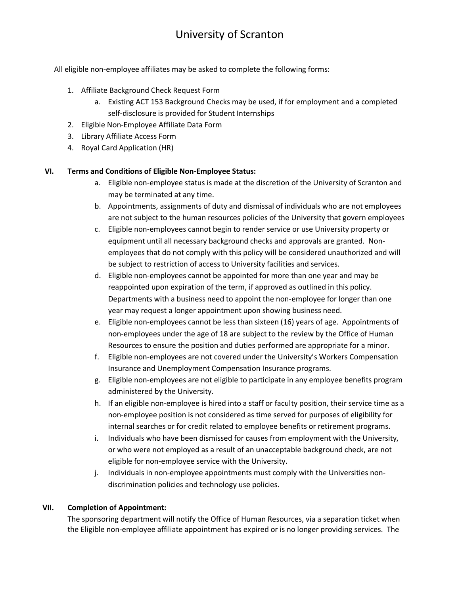# University of Scranton

All eligible non-employee affiliates may be asked to complete the following forms:

- 1. Affiliate Background Check Request Form
	- a. Existing ACT 153 Background Checks may be used, if for employment and a completed self-disclosure is provided for Student Internships
- 2. Eligible Non-Employee Affiliate Data Form
- 3. Library Affiliate Access Form
- 4. Royal Card Application (HR)

### **VI. Terms and Conditions of Eligible Non-Employee Status:**

- a. Eligible non-employee status is made at the discretion of the University of Scranton and may be terminated at any time.
- b. Appointments, assignments of duty and dismissal of individuals who are not employees are not subject to the human resources policies of the University that govern employees
- c. Eligible non-employees cannot begin to render service or use University property or equipment until all necessary background checks and approvals are granted. Nonemployees that do not comply with this policy will be considered unauthorized and will be subject to restriction of access to University facilities and services.
- d. Eligible non-employees cannot be appointed for more than one year and may be reappointed upon expiration of the term, if approved as outlined in this policy. Departments with a business need to appoint the non-employee for longer than one year may request a longer appointment upon showing business need.
- e. Eligible non-employees cannot be less than sixteen (16) years of age. Appointments of non-employees under the age of 18 are subject to the review by the Office of Human Resources to ensure the position and duties performed are appropriate for a minor.
- f. Eligible non-employees are not covered under the University's Workers Compensation Insurance and Unemployment Compensation Insurance programs.
- g. Eligible non-employees are not eligible to participate in any employee benefits program administered by the University.
- h. If an eligible non-employee is hired into a staff or faculty position, their service time as a non-employee position is not considered as time served for purposes of eligibility for internal searches or for credit related to employee benefits or retirement programs.
- i. Individuals who have been dismissed for causes from employment with the University, or who were not employed as a result of an unacceptable background check, are not eligible for non-employee service with the University.
- j. Individuals in non-employee appointments must comply with the Universities nondiscrimination policies and technology use policies.

### **VII. Completion of Appointment:**

The sponsoring department will notify the Office of Human Resources, via a separation ticket when the Eligible non-employee affiliate appointment has expired or is no longer providing services. The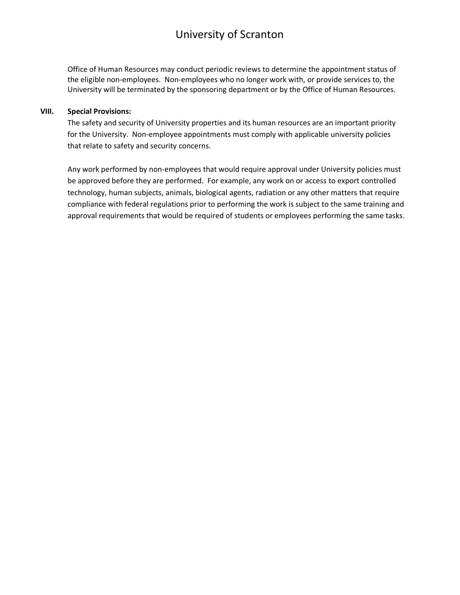### University of Scranton

Office of Human Resources may conduct periodic reviews to determine the appointment status of the eligible non-employees. Non-employees who no longer work with, or provide services to, the University will be terminated by the sponsoring department or by the Office of Human Resources.

### **VIII. Special Provisions:**

The safety and security of University properties and its human resources are an important priority for the University. Non-employee appointments must comply with applicable university policies that relate to safety and security concerns.

Any work performed by non-employees that would require approval under University policies must be approved before they are performed. For example, any work on or access to export controlled technology, human subjects, animals, biological agents, radiation or any other matters that require compliance with federal regulations prior to performing the work is subject to the same training and approval requirements that would be required of students or employees performing the same tasks.